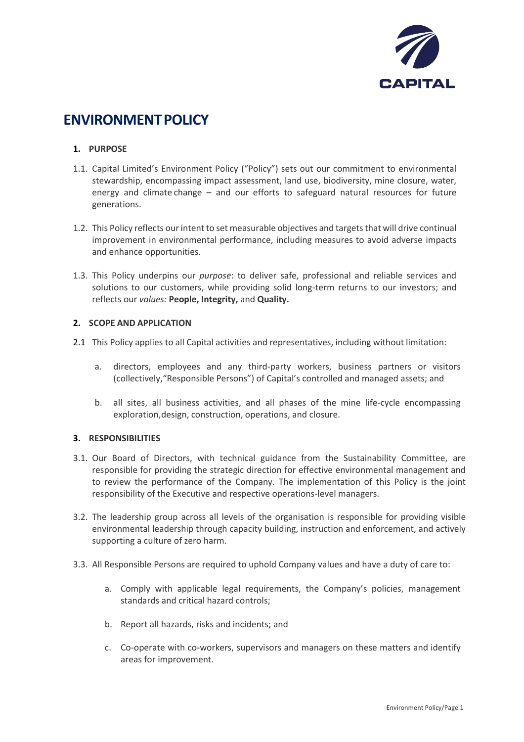

# **ENVIRONMENTPOLICY**

### **1. PURPOSE**

- 1.1. Capital Limited's Environment Policy ("Policy") sets out our commitment to environmental stewardship, encompassing impact assessment, land use, biodiversity, mine closure, water, energy and climate change – and our efforts to safeguard natural resources for future generations.
- 1.2. This Policy reflects our intent to set measurable objectives and targets that will drive continual improvement in environmental performance, including measures to avoid adverse impacts and enhance opportunities.
- 1.3. This Policy underpins our *purpose*: to deliver safe, professional and reliable services and solutions to our customers, while providing solid long-term returns to our investors; and reflects our *values:* **People, Integrity,** and **Quality.**

#### **2. SCOPE AND APPLICATION**

- 2.1 This Policy applies to all Capital activities and representatives, including without limitation:
	- a. directors, employees and any third-party workers, business partners or visitors (collectively,"Responsible Persons") of Capital's controlled and managed assets; and
	- b. all sites, all business activities, and all phases of the mine life-cycle encompassing exploration,design, construction, operations, and closure.

#### **3. RESPONSIBILITIES**

- 3.1. Our Board of Directors, with technical guidance from the Sustainability Committee, are responsible for providing the strategic direction for effective environmental management and to review the performance of the Company. The implementation of this Policy is the joint responsibility of the Executive and respective operations-level managers.
- 3.2. The leadership group across all levels of the organisation is responsible for providing visible environmental leadership through capacity building, instruction and enforcement, and actively supporting a culture of zero harm.
- 3.3. All Responsible Persons are required to uphold Company values and have a duty of care to:
	- a. Comply with applicable legal requirements, the Company's policies, management standards and critical hazard controls;
	- b. Report all hazards, risks and incidents; and
	- c. Co-operate with co-workers, supervisors and managers on these matters and identify areas for improvement.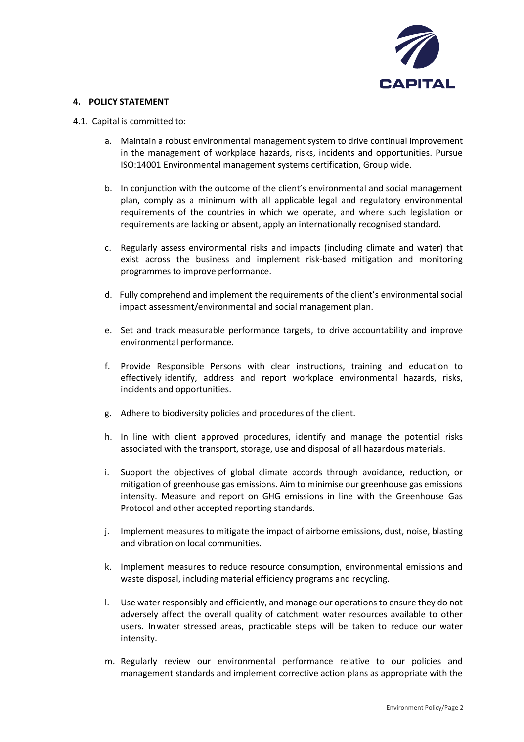

#### **4. POLICY STATEMENT**

- 4.1. Capital is committed to:
	- a. Maintain a robust environmental management system to drive continual improvement in the management of workplace hazards, risks, incidents and opportunities. Pursue ISO:14001 Environmental management systems certification, Group wide.
	- b. In conjunction with the outcome of the client's environmental and social management plan, comply as a minimum with all applicable legal and regulatory environmental requirements of the countries in which we operate, and where such legislation or requirements are lacking or absent, apply an internationally recognised standard.
	- c. Regularly assess environmental risks and impacts (including climate and water) that exist across the business and implement risk-based mitigation and monitoring programmes to improve performance.
	- d. Fully comprehend and implement the requirements of the client's environmental social impact assessment/environmental and social management plan.
	- e. Set and track measurable performance targets, to drive accountability and improve environmental performance.
	- f. Provide Responsible Persons with clear instructions, training and education to effectively identify, address and report workplace environmental hazards, risks, incidents and opportunities.
	- g. Adhere to biodiversity policies and procedures of the client.
	- h. In line with client approved procedures, identify and manage the potential risks associated with the transport, storage, use and disposal of all hazardous materials.
	- i. Support the objectives of global climate accords through avoidance, reduction, or mitigation of greenhouse gas emissions. Aim to minimise our greenhouse gas emissions intensity. Measure and report on GHG emissions in line with the Greenhouse Gas Protocol and other accepted reporting standards.
	- j. Implement measures to mitigate the impact of airborne emissions, dust, noise, blasting and vibration on local communities.
	- k. Implement measures to reduce resource consumption, environmental emissions and waste disposal, including material efficiency programs and recycling.
	- l. Use water responsibly and efficiently, and manage our operations to ensure they do not adversely affect the overall quality of catchment water resources available to other users. Inwater stressed areas, practicable steps will be taken to reduce our water intensity.
	- m. Regularly review our environmental performance relative to our policies and management standards and implement corrective action plans as appropriate with the